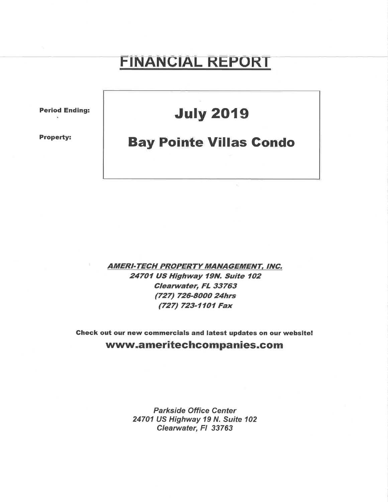# FINANGIAL REPORT

Period Ending:

Property:

## **July 2019**

## **Bay Pointe Villas Condo**

AMERI-TECH PROPERTY MANAGEMENT, INC. 24701 US Highway 79N, Suite 7O2 Cleanuater, FL 33763 (727) 726-8000 24hrs (727) 723-1101 Fax

Gheck out our new commercials and latest updates on our website! www.ameritechcompanies.com

> Parkside Office Center 24701 US Highway 19 N. Suite 102 Clearwater, Fl 33763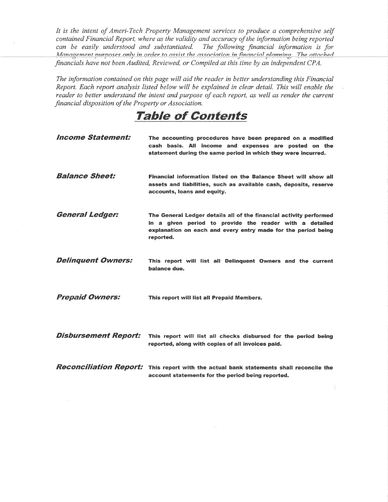It is the intent of Ameri-Tech Property Management services to produce a comprehensive self contained Financial Report, where as the validity and accuracy of the information being reported can be easily understood and substantiated. The following financial information is for Management nurposes only in order to assist the association in financial planning The attached financials have not been Audited, Reviewed, or Compiled at this time by an independent CPA.

The information contained on this page will aid the reader in better understanding this Financial Report. Each report analysis listed below will be explained in clear detail. This will enable the reader to better understand the intent and purpose of each report, as well as render the current financial disposition of the Property or Association.

### TaþIe of Contents

| <b>Income Statement:</b>    | The accounting procedures have been prepared on a modified<br>cash basis. All income and expenses are posted on the<br>statement during the same period in which they were incurred.                        |
|-----------------------------|-------------------------------------------------------------------------------------------------------------------------------------------------------------------------------------------------------------|
| <b>Balance Sheet:</b>       | Financial information listed on the Balance Sheet will show all<br>assets and liabilities, such as available cash, deposits, reserve<br>accounts, loans and equity.                                         |
| <b>General Ledger:</b>      | The General Ledger details all of the financial activity performed<br>in a given period to provide the reader with a detailed<br>explanation on each and every entry made for the period being<br>reported. |
| <b>Delinquent Owners:</b>   | This report will list all Delinquent Owners and the current<br>balance due.                                                                                                                                 |
| <b>Prepaid Owners:</b>      | This report will list all Prepaid Members.                                                                                                                                                                  |
| <b>Disbursement Report:</b> | This report will list all checks disbursed for the period being<br>reported, along with copies of all invoices paid.                                                                                        |
|                             | <b>Reconciliation Report:</b> This report with the actual bank statements shall reconcile the<br>account statements for the period being reported.                                                          |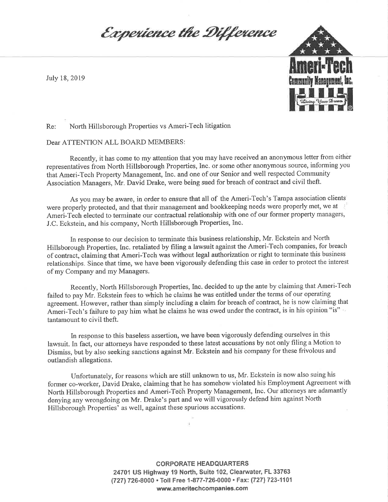Experience the Difference



Re: North Hillsborough Properties vs Ameri-Tech litigation

Dear ATTENTION ALL BOARD MEMBERS:

Recently, it has come to my attention that you may have received an anonymous letter from either representatives from North Hillsborough Properties, Inc. or some other anonymous source, informing you that Ameri-Tech Property Management, Inc. and one of our Senior and well respected Community Association Managers, Mr. David Drake, were being sued for breach of contract and civil theft.

As you may be aware, in order to ensure that all of the Ameri-Tech's Tampa association clients were properly protected, and that their management and bookkeeping needs were properly met, we at Ameri-Tech elected to terminate our contractual relationship with one of our former property managers, J.C. Eckstein, and his company, North Hillsborough Properties, Inc.

ln response to our decision to terminate this business relationship, Mr. Eckstein and North Hillsborough Þroperties, Inc. retaliated by filing a lawsuit against the Ameri-Tech companies, for breach of contract, claiming that Ameri-Tech was without legal authorization or right to terminate this business relationships. Since that time, we have been vigorously defending this case in order to protect the interest of my Company and my Managers.

Recently, North Hillsborough Properties, Inc. decided to up the ante by claiming that Ameri-Tech failed to pay Mr. Eckstein fees to which he claims he was entitled under the terms of our operating agreement. However, rather than simply including a claim for breach of contract, he is now claiming that agreement. However, rather than simply including a claim for breach of contract, it is now claiming the<br>Ameri-Tech's failure to pay him what he claims he was owed under the contract, is in his opinion "is" tantamount to civil theft.

In response to this baseless assertion, we have been vigorously defending ourselves in this lawsuit. In fact, our attorneys have responded to these latest accusations by not only filing a Motion to Dismiss, but by also seeking sanctions against Mr. Eckstein and his company for these frivolous and outlandish allegations.

Unfortunately, for reasons which are still unknown to us, Mr. Eckstein is now also suing his former co-worker, David Drake, claiming that he has somehow violated his Employment Agreement with North Hillsborough Properties and Ameri-Tech Property Management, Inc. Our attorneys are adamantly denying any wrongdoing on Mr. Drake's part and we will vigorously defend him against North Hillsborough Properties' as well, against these spurious accusations.

> CORPORATE HEADQUARTERS 24701 US Highway 19 North, Suite 102, Clearwater, FL 33763 (727) 726-8000 · Toll Free 1-877-726-0000 · Fax: (727) 723-1101 www.ameritechcompanies.com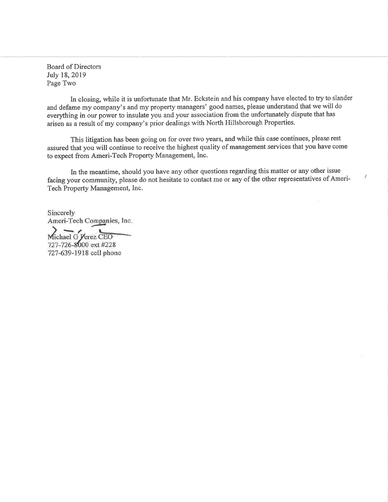Board of Directors July 18,2019 Page Two

ln closing, while it is unfortunate that Mr. Eckstein and his company have elected to try to slander and defame my company's and my property managers' good names, please understand that we will do everything in our power to insulate you and your association from the unfortunately dispute that has arisen as a result of my company's prior dealings with North Hillsborough Properties.

This litigation has been going on for over two years, and while this case continues, please rest assured that you will continue to receive the highest quality of management services that you have come to expect from Ameri-Tech Property Management, Inc.

In the meantime, should you have any other questions regarding this matter or any other issue facing your community, please do not hesitate to contact me or any of the other representatives of Ameri-Tech Property Management, Inc.

Sincerely Ameri-Tech Companies, Inc.

 $\widetilde{\text{Michael G}$   $\text{Yerez}}$   $\text{CEO}$ 727-726-8000 ext #228 727-639-1918 cell phone

I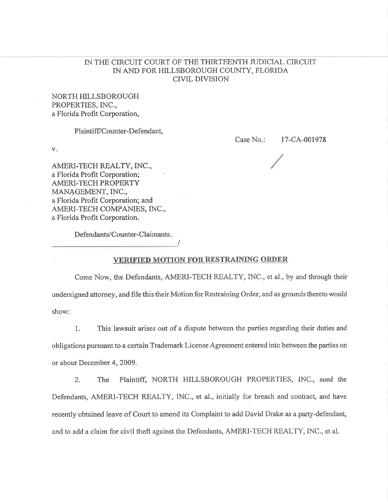#### IN THE CIRCUIT COURT OF THE THIRTEENTH JUDICIAL CIRCUIT IN AND FOR HILLSBOROUGH COUNTY, FLORIDA CIVIL DIVISION

NORTH HILLSBOROUGH PROPERTIES, INC., a Florida Profit Corporation,

Plaintiff/Counter-Defendant,

**V**e

Case No.: l7-CA-001978

AMERI-TECH REALTY, INC., a Florida Profit Corporation; AMERI-TECH PROPERTY MANAGEMENT, INC., a Florida Profit Corporation; and AMERI-TECH COMPANIES, INC., a Florida Profït Corporation.

Defendants/Counter-Claimants.

#### VERIFIED MOTION FOR RESTRAINING ORDER

Come Now, the Defendants, AMERI-TECH REALTY, INC., et al., by and through their undersigned attorney, and file this their Motion for Restraining Order, and as grounds thereto would show:

1. This lawsuit arises out of a dispute between the parties regarding their duties and obligations pursuant to a certain Trademark License Agreement entered into between the parties on or about December 4,2009.

2. The Plaintiff, NORTH HILLSBOROUGH PROPERTIES, INC., sued the Defendants, AMERI-TECH REALTY, INC., et al., initially for breach and contract, and have recently obtained leave of Court to amend its Complaint to add David Drake as a party-defendant, and to add a claim for civil theft against the Defendants, AMERI-TECH REALTY, INC., et al.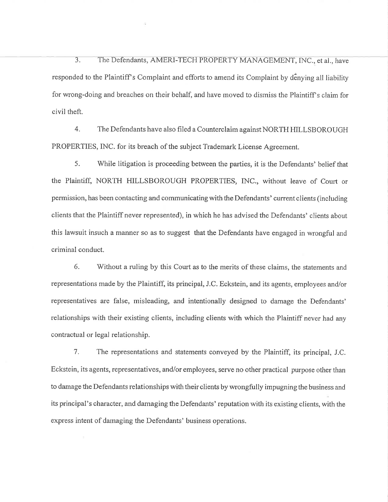3. The Defendants, AMERI-TECH PROPERTY MANAGEMENT, INC., et al., have responded to the Plaintiff's Complaint and efforts to amend its Complaint by denying all liability for wrong-doing and breaches on their behalf, and have moved to dismiss the Plaintiff's claim for civil theft.

4. The Defendants have also filed a Counterclaim against NORTH HILLSBOROUGH PROPERTIES, INC. for its breach of the subject Trademark License Agreement.

5. While litigation is proceeding between the parties, it is the Defendants' belief that the Plaintiff, NORTH HILLSBOROUGH PROPERTIES, INC., without leave of Court or perrnission, has been contacting and communicating with the Defendants' current clients (including clients that the Plaintiff never represented), in which he has advised the Defendants' clients about this lawsuit insuch a manner so as to suggest that the Defendants have engaged in wrongful and criminal conduct.

6. Without a ruling by this Court as to the merits of these claims, the statements and representations made by the Plaintiff, its principal, J.C. Eckstein, and its agents, employees and/or representatives are false, misleading, and intentionally designed to damage the Defendants' relationships with their existing clients, including clients with which the Plaintiff never had any contractual or Iegal relationship.

7. The representations and statements conveyed by the Plaintiff, its principal, J.C. Eckstein, its agents, representatives, and/or employees, serve no other practical purpose other than to damage the Defendants relationships with their clients by wrongfully impugning the business and its principal's character, and damaging the Defendants' reputation with its existing clients, with the express intent of darnaging the Defendants' business operations.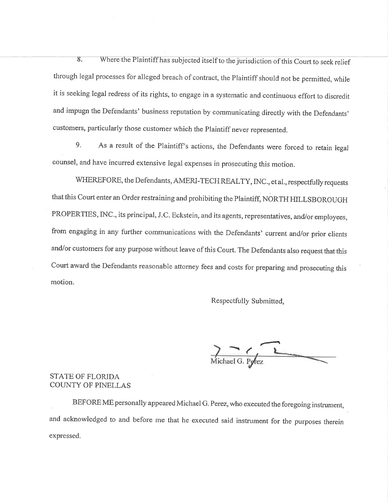8. Where the Plaintiff has subjected itself to the jurisdiction of this Court to seek relief through legal processes for alleged breach of contract, the Plaintiff should not be permitted, while it is seeking legal redress of its rights, to engage in a systematic and continuous effort to discredit and impugn the Defendants' business reputation by communicating directly with the Defendants' customers, particularly those customer which the Plaintiff never represented.

9. As a result of the Plaintiff's actions, the Defendants were forced to retain legal counsel, and have incurred extensive legal expenses in prosecuting this motion.

WHEREFORE, the Defendants, AMERI-TECH REALTY, INC., et al., respectfully requests that this Court enter an Order restraining and prohibiting the Plaintiff, NORTH HILLSBOROUGH PROPERTIES, INC., its principal, J.C. Eckstein, and its agents, representatives, and/or employees, from engaging in any further communications with the Defendants' current and/or prior clients and/or customers for any purpose without leave of this Court. The Defendants also request that this Court award the Defendants reasonable attorney fees and costs for preparing and prosecuting this motion.

Respectfully Submitted,

Michael G. Pyrez

#### STATE OF FLORIDA COUNTY OF PINELLAS

BEFORE ME personally appeared Michael G. Perez, who executed the foregoing instrument, and acknowledged to and before me that he executed said instrument for the purposes therein expressed.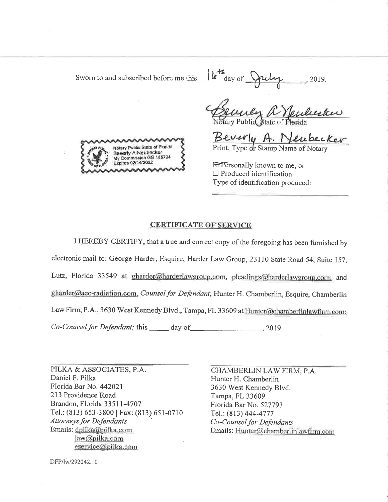Sworn to and subscribed before me this  $\frac{|\mathbf{L}^{\mathsf{H}}|}{\text{day of } \mathbf{Q}^{\mathsf{H}}}$  $-$ , 2019,



Benney a Neubuckers<br>Notary Public State of Phorida<br>Beverly A. Neubecker

**E** Personally known to me, or  $\Box$  Produced identification Type of identification produced:

#### **CERTIFICATE OF SERVICE**

I HEREBY CERTIFY, that a true and correct copy of the foregoing has been furnished by electronic mail to: George Harder, Esquire, Harder Law Group, 23110 State Road 54, Suite 157, Lutz, Florida 33549 at gharder@harderlawgroup.com, pleadings@harderlawgroup.com; and gharder@aec-radiation.com, Counsel for Defendant; Hunter H. Chamberlin, Esquire, Chamberlin Law Firm, P.A., 3630 West Kennedy Blvd., Tampa, FL 33609 at Hunter@chamberlinlawfirm.com; Co-Counsel for Defendant; this day of 2019.

PILKA & ASSOCIATES, P.A. Daniel F. Pilka Florida Bar No. 442021 213 Providence Road Brandon, Florida 33511-4707 Tel.: (813) 653-3800 | Fax: (813) 651-0710 **Attorneys for Defendants** Emails: dpilka@pilka.com law@pilka.com eservice@pilka.com

CHAMBERLIN LAW FIRM, P.A. Hunter H. Chamberlin 3630 West Kennedy Blvd. Tampa, FL 33609 Florida Bar No. 527793 Tel.: (813) 444-4777 Co-Counsel for Defendants Emails: Hunter@chamberlinlawfirm.com

DFP/lw/292042.10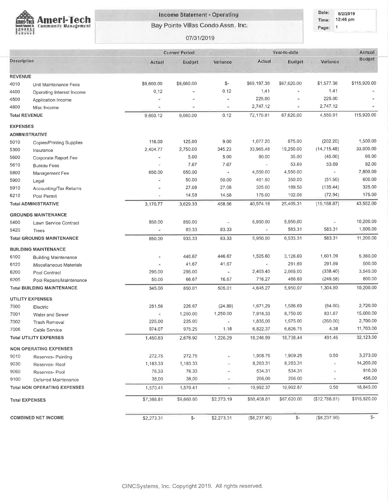

#### Income Statement - Operating

Bay Pointe Villas Condo Assn. Inc.

07/31/2019

Date: 8/2/2019 Time: 12:46 pm Page: 1

|                       |                                     | <b>Current Period</b> |               |                          |              | Year-to-date        |               | Annual       |
|-----------------------|-------------------------------------|-----------------------|---------------|--------------------------|--------------|---------------------|---------------|--------------|
| Description           |                                     | Actual                | Budget        | Variance                 | Actual       | Budget              | Variance      | Budget       |
| <b>REVENUE</b>        |                                     |                       |               |                          |              |                     |               |              |
| 4010                  | Unit Maintenance Fees               | \$9,660.00            | \$9,660.00    | \$-                      | \$69,197.38  | \$67,620.00         | \$1,577.38    | \$115,920.00 |
| 4400                  | Operating Interest Income           | 0.12                  |               | 0.12                     | 1:41         | $\bar{\phantom{a}}$ | 1.41          |              |
| 4500                  | Application Income                  | ÷                     | Ξ             | ÷.                       | 225.00       | ٠                   | 225.00        |              |
| 4800                  | Misc Income                         | é                     | ŵ.            | ÷                        | 2,747.12     | ¥                   | 2,747.12      |              |
| <b>Total REVENUE</b>  |                                     | 9,660.12              | 9,660.00      | 0.12                     | 72,170.91    | 67,620.00           | 4,550.91      | 115,920.00   |
| <b>EXPENSES</b>       |                                     |                       |               |                          |              |                     |               |              |
| <b>ADMINISTRATIVE</b> |                                     |                       |               |                          |              |                     |               |              |
| 5010                  | <b>Copies/Printing Supplies</b>     | 116.00                | 125.00        | 9.00                     | 1,077.20     | 875.00              | (202.20)      | 1,500.00     |
| 5300                  | Insurance                           | 2,404.77              | 2,750.00      | 345.23                   | 33,965,48    | 19,250.00           | (14, 715.48)  | 33,000.00    |
| 5600                  | Corporate Report Fee                | ÷                     | 5.00          | 5.00                     | 80.00        | 35.00               | (45.00)       | 60.00        |
| 5610                  | <b>Bureau Fees</b>                  | Ξ                     | 7.67          | 7.67                     | $\bar{ }$    | 53.69               | 53.69         | 92.00        |
| 5800                  | Management Fee                      | 650.00                | 650.00        | ÷                        | 4,550.00     | 4,550.00            | á.            | 7,800.00     |
| 5900                  | Legal                               | ë                     | 50.00         | 50.00                    | 401.50       | 350.00              | (51.50)       | 600.00       |
| 5910                  | Accounting/Tax Returns              | ÷                     | 27.08         | 27.08                    | 325.00       | 189.56              | (135.44)      | 325.00       |
| 6210                  | Pool Permit                         | $\overline{a}$        | 14.58         | 14.58                    | 175.00       | 102.06              | (72.94)       | 175.00       |
|                       | <b>Total ADMINISTRATIVE</b>         | 3,170.77              | 3,629.33      | 458.56                   | 40,574.18    | 25,405.31           | (15, 168.87)  | 43,552.00    |
|                       | <b>GROUNDS MAINTENANCE</b>          |                       |               |                          |              |                     |               |              |
| 5400                  | Lawn Service Contract               | 850.00                | 850.00        | ×                        | 5,950.00     | 5,950.00            |               | 10,200.00    |
| 5420                  | Trees                               | ×                     | 83.33         | 83.33                    | ٠            | 583.31              | 583.31        | 1,000.00     |
|                       | <b>Total GROUNDS MAINTENANCE</b>    | 850.00                | 933.33        | 83.33                    | 5,950.00     | 6,533.31            | 583.31        | 11,200.00    |
|                       | <b>BUILDING MAINTENANCE</b>         |                       |               |                          |              |                     |               |              |
| 6100                  | <b>Building Maintenance</b>         | ×                     | 446.67        | 446.67                   | 1,525.60     | 3,126.69            | 1,601.09      | 5,360.00     |
| 6120                  | Miscellaneous Materials             |                       | 41.67         | 41.67                    | $\equiv$     | 291.69              | 291.69        | 500.00       |
| 6200                  | Pool Contract                       | 295.00                | 295.00        | ÷                        | 2,403.40     | 2,065.00            | (338.40)      | 3,540.00     |
| 6205                  | Pool Repairs/Maintenance            | 50.00                 | 66.67         | 16.67                    | 716.27       | 466.69              | (249.58)      | 800.00       |
|                       | <b>Total BUILDING MAINTENANCE</b>   | 345.00                | 850.01        | 505.01                   | 4,645.27     | 5,950,07            | 1,304.80      | 10,200.00    |
|                       | <b>UTILITY EXPENSES</b>             |                       |               |                          |              |                     |               |              |
| 7000                  | Electric                            | 251.56                | 226.67        | (24.89)                  | 1,671.29     | 1,586.69            | (84.60)       | 2,720.00     |
| 7001                  | Water and Sewer                     | Ξ                     | 1,250.00      | 1,250.00                 | 7,918.33     | 8,750.00            | 831.67        | 15,000.00    |
| 7002                  | <b>Trash Removal</b>                | 225 00                | 225.00        | $\overline{\phantom{a}}$ | 1,835,00     | 1,575.00            | (260.00)      | 2,700.00     |
| 7006                  | Cable Service                       | 974.07                | 975.25        | 1.18                     | 6,822,37     | 6,826.75            | 4.38          | 11,703.00    |
|                       | <b>Total UTILITY EXPENSES</b>       | 1,450.63              | 2,676.92      | 1,226.29                 | 18,246.99    | 18,738,44           | 491.45        | 32,123.00    |
|                       | <b>NON OPERATING EXPENSES</b>       |                       |               |                          |              |                     |               |              |
| 9010                  | Reserves- Painting                  | 272.75                | 272.75        |                          | 1,908.75     | 1,909.25            | 0.50          | 3,273.00     |
| 9030                  | Reserves-Roof                       | 1,183.33              | 1,183.33      |                          | 8,283.31     | 8,283,31            | ×             | 14,200.00    |
| 9060                  | Reserves- Pool                      | 76.33                 | 76.33         |                          | 534.31       | 534,31              | ×             | 916.00       |
| 9100                  | Deferred Maintenance                | 38,00                 | 38,00         | æ5                       | 266.00       | 266.00              | ×             | 456.00       |
|                       | <b>Total NON OPERATING EXPENSES</b> | 1,570.41              | 1,570.41      | $\pm 2$                  | 10,992.37    | 10,992.87           | 0.50          | 18,845.00    |
| <b>Total EXPENSES</b> |                                     | \$7,386.81            | \$9,660.00    | \$2,273.19               | \$80,408.81  | \$67,620.00         | (\$12,788.81) | \$115,920.00 |
|                       | <b>COMBINED NET INCOME</b>          | \$2,273.31            | $\frac{2}{3}$ | \$2,273.31               | (\$8,237.90) | $\mathbb{S}^-$      | (\$8,237.90)  | \$-          |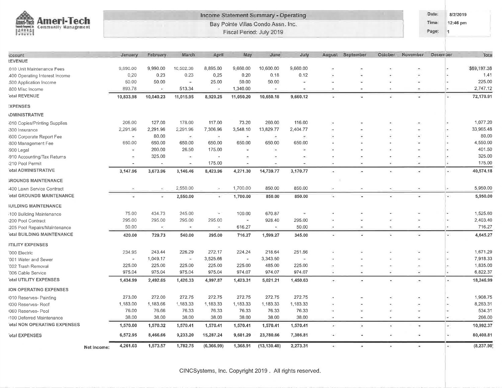|                                                                                             |             |                          |           |                          |                          |                          | Income Statement Summary - Operating                           |                          |                              |                          |                       |                          | Dafe:          | 8/2/2019                   |             |
|---------------------------------------------------------------------------------------------|-------------|--------------------------|-----------|--------------------------|--------------------------|--------------------------|----------------------------------------------------------------|--------------------------|------------------------------|--------------------------|-----------------------|--------------------------|----------------|----------------------------|-------------|
| <b>Ameri-Tech</b><br>mari-Toch<br>leased frequent, in:<br><b>Community Management</b><br>陽照 |             |                          |           |                          |                          |                          | Bay Pointe Villas Condo Assn. Inc.<br>Fiscal Period: July 2019 |                          |                              |                          |                       |                          | Time:<br>Page: | 12:46 pm<br>$\overline{1}$ |             |
|                                                                                             |             |                          |           |                          |                          |                          |                                                                |                          |                              |                          |                       |                          |                |                            |             |
| ccount                                                                                      |             | January.                 | February  | March                    | April                    | May                      | June                                                           | July                     |                              | August September         | October               | November                 | December       |                            | Tota        |
| <b><i>REVENUE</i></b>                                                                       |             |                          |           |                          |                          |                          |                                                                |                          |                              |                          |                       |                          |                |                            |             |
| 010 Unit Maintenance Fees                                                                   |             | 9,890.00                 | 9,990.00  | 10,502.38                | 8,895.00                 | 9,660.00                 | 10,600.00                                                      | 9,660.00                 |                              |                          |                       |                          |                |                            | \$69,197.38 |
| 400 Operating Interest Income                                                               |             | 0.20                     | 0.23      | 0.23                     | 0,25                     | 0.20                     | 0.18                                                           | 0.12                     |                              |                          |                       |                          |                |                            | 1.41        |
| 500 Application Income                                                                      |             | 50.00                    | 50.00     | $\overline{\phantom{a}}$ | 25.00                    | 50.00                    | 50.00                                                          | ÷                        | ٠.                           |                          |                       |                          |                |                            | 225.00      |
| 800 Misc Income                                                                             |             | 893.78                   | $\bar{m}$ | 513.34                   | $\bullet$                | 1,340.00                 | $\left( \bullet \right)$                                       | ٠                        |                              |                          |                       |                          |                |                            | 2,747.12    |
| otal REVENUE                                                                                |             | 10,833.98                | 10,040.23 | 11,015.95                | 8,920.25                 | 11,050.20                | 10,650.18                                                      | 9,660.12                 |                              |                          |                       |                          |                | ٠                          | 72,170.91   |
| <b>EXPENSES</b>                                                                             |             |                          |           |                          |                          |                          |                                                                |                          |                              |                          |                       |                          |                |                            |             |
| <b>IDMINISTRATIVE</b>                                                                       |             |                          |           |                          |                          |                          |                                                                |                          |                              |                          |                       |                          |                |                            |             |
| i010 Copies/Printing Supplies                                                               |             | 206.00                   | 127.00    | 178.00                   | 117.00                   | 73.20                    | 260.00                                                         | 116.00                   |                              |                          |                       |                          |                |                            | 1,077.20    |
| 300 Insurance                                                                               |             | 2,291.96                 | 2,291.96  | 2,291.96                 | 7,306.96                 | 3,548.10                 | 13,829.77                                                      | 2,404.77                 |                              |                          |                       |                          |                |                            | 33,965.48   |
| 600 Corporate Report Fee                                                                    |             | $\overline{\phantom{a}}$ | 80.00     | $\overline{\phantom{a}}$ | ×.                       | ٠                        | ×.                                                             | $\overline{\phantom{a}}$ |                              |                          |                       |                          |                |                            | 80.00       |
| 800 Management Fee                                                                          |             | 650.00                   | 650.00    | 650.00                   | 650.00                   | 650.00                   | 650.00                                                         | 650.00                   |                              |                          |                       |                          |                |                            | 4,550.00    |
| 8900 Legal                                                                                  |             | ×,                       | 200.00    | 26.50                    | 175.00                   | $\omega$                 | ×                                                              | $\overline{\phantom{a}}$ |                              |                          |                       |                          |                |                            | 401.50      |
| 1910 Accounting/Tax Returns                                                                 |             |                          | 325.00    | œ                        | $\overline{\phantom{a}}$ |                          |                                                                | ×                        |                              |                          |                       |                          |                |                            | 325.00      |
| i210 Pool Permit                                                                            |             | $\sim$                   | $\bullet$ | ÷                        | 175.00                   | $\sim$                   | еņ.                                                            | $\overline{\phantom{a}}$ | ÷                            | $\overline{\phantom{a}}$ |                       | ۰                        |                | ٠                          | 175.00      |
| otal ADMINISTRATIVE                                                                         |             | 3,147.96                 | 3,673.96  | 3,146.46                 | 8,423.96                 | 4,271.30                 | 14,739.77                                                      | 3,170.77                 | ×.                           | $\bullet$                | ¥.                    | $\overline{\phantom{a}}$ |                | ×.                         | 40,574.18   |
| <b>GROUNDS MAINTENANCE</b>                                                                  |             |                          |           |                          |                          |                          |                                                                |                          |                              |                          |                       |                          |                |                            |             |
| 400 Lawn Service Contract                                                                   |             |                          |           | 2,550.00                 | $\sim$                   | 1,700.00                 | 850.00                                                         | 850.00                   | ×                            |                          |                       |                          |                |                            | 5,950.00    |
| <b>'otal GROUNDS MAINTENANCE</b>                                                            |             |                          |           | 2,550.00                 | ٠                        | 1,700.00                 | 850.00                                                         | 850.00                   | ÷.                           |                          |                       |                          |                | ÷                          | 5,950.00    |
| <b>IUILDING MAINTENANCE</b>                                                                 |             |                          |           |                          |                          |                          |                                                                |                          |                              |                          |                       |                          |                |                            |             |
| 100 Building Maintenance                                                                    |             | 75.00                    | 434.73    | 245.00                   | ÷.                       | 100.00                   | 670.87                                                         | G.                       |                              |                          |                       |                          |                |                            | 1,525.60    |
| i200 Pool Contract                                                                          |             | 295.00                   | 295.00    | 295.00                   | 295.00                   | $\overline{\phantom{a}}$ | 928.40                                                         | 295.00                   |                              |                          |                       |                          |                |                            | 2,403.40    |
| 205 Pool Repairs/Maintenance                                                                |             | 50.00                    |           | œ                        | ٠                        | 616.27                   |                                                                | 50.00                    | ÷                            |                          |                       | ۰                        |                |                            | 716.27      |
| otal BUILDING MAINTENANCE                                                                   |             | 420.00                   | 729.73    | 540.00                   | 295.00                   | 716.27                   | 1,599.27                                                       | 345.00                   | $\sim$                       |                          |                       |                          |                | 45                         | 4,645.27    |
| <b>JTILITY EXPENSES</b>                                                                     |             |                          |           |                          |                          |                          |                                                                |                          |                              |                          |                       |                          |                |                            |             |
| 000 Electric                                                                                |             | 234.95                   | 243.44    | 226.29                   | 272.17                   | 224.24                   | 218.64                                                         | 251.56                   |                              |                          |                       |                          |                |                            | 1,671.29    |
| '001 Water and Sewer                                                                        |             | ×                        | 1,049.17  | $\overline{\phantom{a}}$ | 3,525.66                 | $\blacksquare$           | 3,343.50                                                       | $\overline{\phantom{a}}$ |                              |                          |                       |                          |                |                            | 7,918.33    |
| '002 Trash Removal                                                                          |             | 225.00                   | 225.00    | 225.00                   | 225.00                   | 225.00                   | 485.00                                                         | 225.00                   | ÷                            |                          |                       | ÷                        |                |                            | 1,835.00    |
| 006 Cable Service                                                                           |             | 975.04                   | 975.04    | 975.04                   | 975.04                   | 974.07                   | 974.07                                                         | 974.07                   |                              |                          |                       |                          |                |                            | 6,822.37    |
| otal UTILITY EXPENSES                                                                       |             | 1,434.99                 | 2,492.65  | 1,426.33                 | 4,997.87                 | 1,423.31                 | 5,021.21                                                       | 1,450.63                 | $\left( \frac{1}{2} \right)$ | ۰                        | ¥                     | $\blacksquare$           |                |                            | 18,246.99   |
| <b>ION OPERATING EXPENSES</b>                                                               |             |                          |           |                          |                          |                          |                                                                |                          |                              |                          |                       |                          |                |                            |             |
| 1010 Reserves- Painting                                                                     |             | 273.00                   | 272.00    | 272.75                   | 272.75                   | 272.75                   | 272.75                                                         | 272.75                   |                              |                          |                       |                          |                | $\blacksquare$             | 1,908.75    |
| 030 Reserves- Roof                                                                          |             | 1,183.00                 | 1,183.66  | 1,183.33                 | 1,183.33                 | 1,183.33                 | 1,183.33                                                       | 1,183.33                 |                              |                          |                       |                          |                |                            | 8,283.31    |
| 060 Reserves- Pool                                                                          |             | 76.00                    | 76.66     | 76.33                    | 76.33                    | 76.33                    | 76.33                                                          | 76.33                    | ٠                            |                          |                       |                          |                |                            | 534.31      |
| 1100 Deferred Maintenance                                                                   |             | 38.00                    | 38.00     | 38.00                    | 38.00                    | 38.00                    | 38.00                                                          | 38.00                    | ÷                            | Ξ                        |                       | $\frac{1}{2}$            |                | i de                       | 266.00      |
| otal NON OPERATING EXPENSES                                                                 |             | 1,570.00                 | 1,570.32  | 1,570.41                 | 1,570.41                 | 1,570.41                 | 1,570.41                                                       | 1,570.41                 | $\bullet$                    | ۸                        | ٠                     | ×                        |                | ٠                          | 10,992.37   |
| otal EXPENSES                                                                               |             | 6,572.95                 | 8,466.66  | 9,233.20                 | 15,287.24                | 9,681.29                 | 23,780.66                                                      | 7,386.81                 | $\sim$                       | ×                        | ٠                     | ×                        |                | ×.                         | 80,408.81   |
|                                                                                             |             |                          |           |                          |                          |                          |                                                                |                          |                              |                          |                       |                          |                |                            |             |
|                                                                                             | Net Income: | 4,261.03                 | 1,573.57  | 1,782.75                 | (6,366.99)               | 1,368.91                 | (13, 130.48)                                                   | 2,273.31                 | $\langle \hat{m} \rangle$    | $\sigma$                 | $\tilde{\mathcal{C}}$ | $\bullet$                |                | ×.                         | (8, 237.90) |

CINCSystems, Inc. Copyright 2019. All rights reserved.